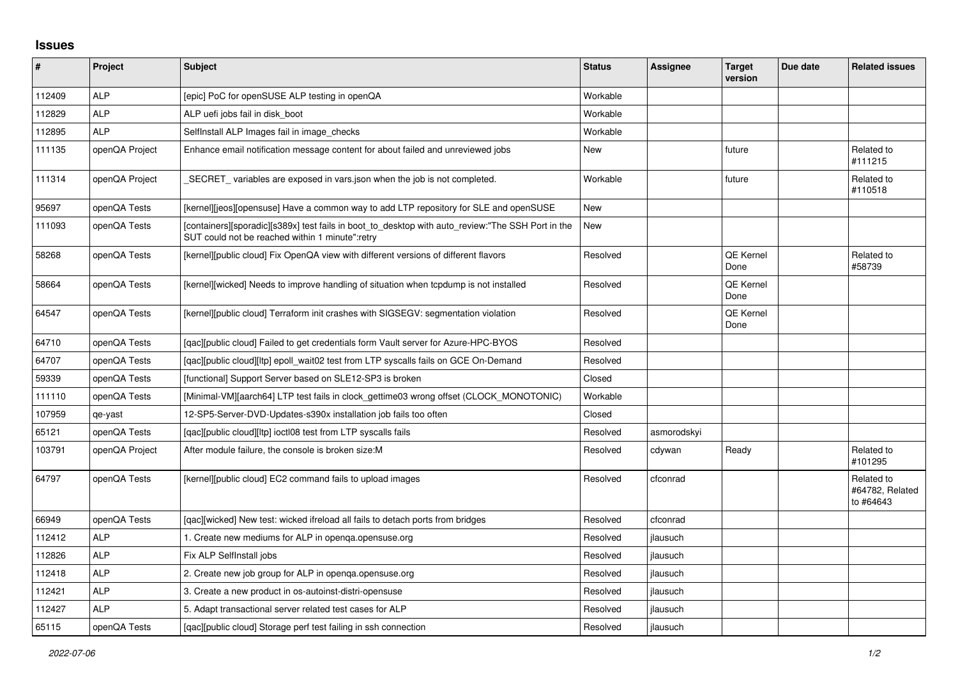## **Issues**

| $\vert$ # | <b>Project</b> | Subject                                                                                                                                              | <b>Status</b> | Assignee    | <b>Target</b><br>version | Due date | <b>Related issues</b>                      |
|-----------|----------------|------------------------------------------------------------------------------------------------------------------------------------------------------|---------------|-------------|--------------------------|----------|--------------------------------------------|
| 112409    | <b>ALP</b>     | [epic] PoC for openSUSE ALP testing in openQA                                                                                                        | Workable      |             |                          |          |                                            |
| 112829    | <b>ALP</b>     | ALP uefi jobs fail in disk_boot                                                                                                                      | Workable      |             |                          |          |                                            |
| 112895    | <b>ALP</b>     | SelfInstall ALP Images fail in image_checks                                                                                                          | Workable      |             |                          |          |                                            |
| 111135    | openQA Project | Enhance email notification message content for about failed and unreviewed jobs                                                                      | New           |             | future                   |          | Related to<br>#111215                      |
| 111314    | openQA Project | SECRET variables are exposed in vars json when the job is not completed.                                                                             | Workable      |             | future                   |          | Related to<br>#110518                      |
| 95697     | openQA Tests   | [kernel][jeos][opensuse] Have a common way to add LTP repository for SLE and openSUSE                                                                | <b>New</b>    |             |                          |          |                                            |
| 111093    | openQA Tests   | [containers][sporadic][s389x] test fails in boot_to_desktop with auto_review:"The SSH Port in the<br>SUT could not be reached within 1 minute":retry | New           |             |                          |          |                                            |
| 58268     | openQA Tests   | [kernel][public cloud] Fix OpenQA view with different versions of different flavors                                                                  | Resolved      |             | QE Kernel<br>Done        |          | Related to<br>#58739                       |
| 58664     | openQA Tests   | [kernel][wicked] Needs to improve handling of situation when tcpdump is not installed                                                                | Resolved      |             | <b>QE Kernel</b><br>Done |          |                                            |
| 64547     | openQA Tests   | [kernel][public cloud] Terraform init crashes with SIGSEGV: segmentation violation                                                                   | Resolved      |             | QE Kernel<br>Done        |          |                                            |
| 64710     | openQA Tests   | [gac][public cloud] Failed to get credentials form Vault server for Azure-HPC-BYOS                                                                   | Resolved      |             |                          |          |                                            |
| 64707     | openQA Tests   | [gac][public cloud][ltp] epoll wait02 test from LTP syscalls fails on GCE On-Demand                                                                  | Resolved      |             |                          |          |                                            |
| 59339     | openQA Tests   | [functional] Support Server based on SLE12-SP3 is broken                                                                                             | Closed        |             |                          |          |                                            |
| 111110    | openQA Tests   | [Minimal-VM][aarch64] LTP test fails in clock_gettime03 wrong offset (CLOCK_MONOTONIC)                                                               | Workable      |             |                          |          |                                            |
| 107959    | qe-yast        | 12-SP5-Server-DVD-Updates-s390x installation job fails too often                                                                                     | Closed        |             |                          |          |                                            |
| 65121     | openQA Tests   | [qac][public cloud][ltp] ioctl08 test from LTP syscalls fails                                                                                        | Resolved      | asmorodskyi |                          |          |                                            |
| 103791    | openQA Project | After module failure, the console is broken size:M                                                                                                   | Resolved      | cdywan      | Ready                    |          | Related to<br>#101295                      |
| 64797     | openQA Tests   | [kernel][public cloud] EC2 command fails to upload images                                                                                            | Resolved      | cfconrad    |                          |          | Related to<br>#64782, Related<br>to #64643 |
| 66949     | openQA Tests   | [gac][wicked] New test: wicked ifreload all fails to detach ports from bridges                                                                       | Resolved      | cfconrad    |                          |          |                                            |
| 112412    | <b>ALP</b>     | 1. Create new mediums for ALP in openga.opensuse.org                                                                                                 | Resolved      | jlausuch    |                          |          |                                            |
| 112826    | <b>ALP</b>     | Fix ALP SelfInstall jobs                                                                                                                             | Resolved      | jlausuch    |                          |          |                                            |
| 112418    | <b>ALP</b>     | 2. Create new job group for ALP in openga.opensuse.org                                                                                               | Resolved      | jlausuch    |                          |          |                                            |
| 112421    | <b>ALP</b>     | 3. Create a new product in os-autoinst-distri-opensuse                                                                                               | Resolved      | jlausuch    |                          |          |                                            |
| 112427    | <b>ALP</b>     | 5. Adapt transactional server related test cases for ALP                                                                                             | Resolved      | jlausuch    |                          |          |                                            |
| 65115     | openQA Tests   | [gac][public cloud] Storage perf test failing in ssh connection                                                                                      | Resolved      | jlausuch    |                          |          |                                            |